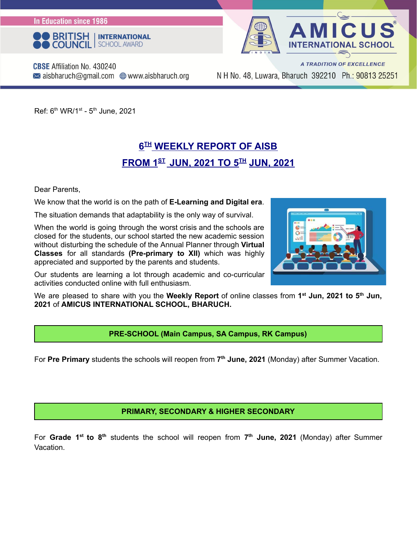**In Education since 1986** 



**L SCHOOL** 

A TRADITION OF EXCELLENCE

**CBSE** Affiliation No. 430240  $\bowtie$  aisbharuch@gmail.com  $\bigoplus$  www.aisbharuch.org

N H No. 48, Luwara, Bharuch 392210 Ph.: 90813 25251

Ref: 6<sup>th</sup> WR/1<sup>st</sup> - 5<sup>th</sup> June, 2021

#### **6 TH WEEKLY REPORT OF AISB FROM 1 ST JUN, 2021 TO 5 TH JUN, 2021**

Dear Parents,

We know that the world is on the path of **E-Learning and Digital era**.

The situation demands that adaptability is the only way of survival.

When the world is going through the worst crisis and the schools are closed for the students, our school started the new academic session without disturbing the schedule of the Annual Planner through **Virtual Classes** for all standards **(Pre-primary to XII)** which was highly appreciated and supported by the parents and students.

Our students are learning a lot through academic and co-curricular activities conducted online with full enthusiasm.



We are pleased to share with you the **Weekly Report** of online classes from **1 st Jun, 2021 to 5 th Jun, 2021** of **AMICUS INTERNATIONAL SCHOOL, BHARUCH.**

**PRE-SCHOOL (Main Campus, SA Campus, RK Campus)**

For **Pre Primary** students the schools will reopen from **7 th June, 2021** (Monday) after Summer Vacation.

**PRIMARY, SECONDARY & HIGHER SECONDARY**

For Grade 1<sup>st</sup> to 8<sup>th</sup> students the school will reopen from 7<sup>th</sup> June, 2021 (Monday) after Summer Vacation.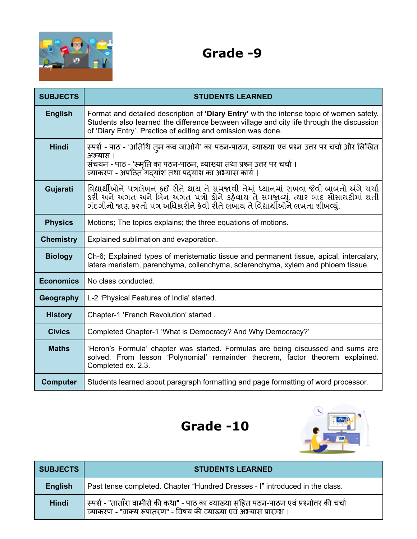

#### **Grade -9**

| <b>SUBJECTS</b>  | <b>STUDENTS LEARNED</b>                                                                                                                                                                                                                                         |
|------------------|-----------------------------------------------------------------------------------------------------------------------------------------------------------------------------------------------------------------------------------------------------------------|
| <b>English</b>   | Format and detailed description of 'Diary Entry' with the intense topic of women safety.<br>Students also learned the difference between village and city life through the discussion<br>of 'Diary Entry'. Practice of editing and omission was done.           |
| <b>Hindi</b>     | स्पर्श - पाठ - 'अतिथि तुम कब जाओगे' का पठन-पाठन, व्याख्या एवं प्रश्न उत्तर पर चर्चा और लिखित<br>अभ्यास ।<br>संचयन - पाठ - 'स्मृति का पठन-पाठन, व्याख्या तथा प्रश्न उत्तर पर चर्चा ।<br>व्याकरण - अपठित गद्यांश तथा पद्यांश का अभ्यास कार्य ।                    |
| Gujarati         | વિદ્યાર્થીઓને પત્રલેખન કઈ રીતે થાય તે સમજાવી તેમાં ધ્યાનમાં રાખવા જેવી બાબતો અંગે ચર્ચા<br>કરી અને અંગત અને બિન અંગત પત્રો કોને કહેવાય તે સમજાવ્યું. ત્યાર બાદ સોસાયટીમાં થતી<br>ગંદગીનો જાણ કરતો પત્ર અધિકારીને કેવી રીતે લખાય તે વિદ્યાર્થીઓને લખતા શીખવ્યું. |
| <b>Physics</b>   | Motions; The topics explains; the three equations of motions.                                                                                                                                                                                                   |
| <b>Chemistry</b> | Explained sublimation and evaporation.                                                                                                                                                                                                                          |
| <b>Biology</b>   | Ch-6; Explained types of meristematic tissue and permanent tissue, apical, intercalary,<br>latera meristem, parenchyma, collenchyma, sclerenchyma, xylem and phloem tissue.                                                                                     |
| <b>Economics</b> | No class conducted.                                                                                                                                                                                                                                             |
| Geography        | L-2 'Physical Features of India' started.                                                                                                                                                                                                                       |
| <b>History</b>   | Chapter-1 'French Revolution' started.                                                                                                                                                                                                                          |
| <b>Civics</b>    | Completed Chapter-1 'What is Democracy? And Why Democracy?'                                                                                                                                                                                                     |
| <b>Maths</b>     | 'Heron's Formula' chapter was started. Formulas are being discussed and sums are<br>solved. From lesson 'Polynomial' remainder theorem, factor theorem explained.<br>Completed ex. 2.3.                                                                         |
| <b>Computer</b>  | Students learned about paragraph formatting and page formatting of word processor.                                                                                                                                                                              |





| <b>SUBJECTS</b> | <b>STUDENTS LEARNED</b>                                                                                                                                          |
|-----------------|------------------------------------------------------------------------------------------------------------------------------------------------------------------|
| <b>English</b>  | Past tense completed. Chapter "Hundred Dresses - I" introduced in the class.                                                                                     |
| <b>Hindi</b>    | स्पर्श - "ताताँरा वामीरो की कथा" - पाठ का व्याख्या सहित पठन-पाठन एवं प्रश्नोत्तर की चर्चा<br>व्याकरण - "वाक्य रूपांतरण" - विषय की व्याख्या एवं अभ्यास प्रारम्भ । |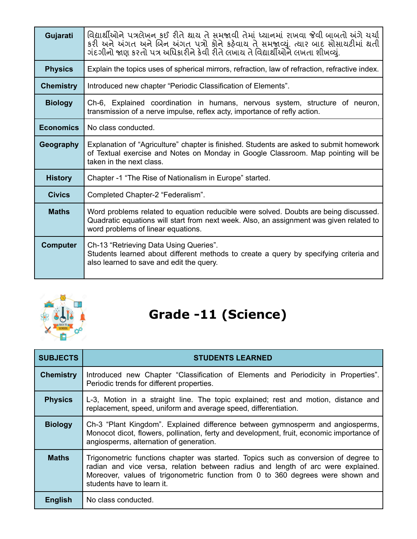| Gujarati         | વિદ્યાર્થીઓને પત્રલેખન કઈ રીતે શાય તે સમજાવી તેમાં ધ્યાનમાં રાખવા જેવી બાબતો અંગે ચર્ચા<br>કરી અને અંગત અને બિન અંગત પત્રો કોને કહેવાય તે સમજાવ્યું. ત્યાર બાદ સોસાયટીમાં થતી<br>ગંદગીનો જાણ કરતો પત્ર અધિકારીને કેવી રીતે લખાય તે વિદ્યાર્થીઓને લખતા શીખવ્યું. |
|------------------|-----------------------------------------------------------------------------------------------------------------------------------------------------------------------------------------------------------------------------------------------------------------|
| <b>Physics</b>   | Explain the topics uses of spherical mirrors, refraction, law of refraction, refractive index.                                                                                                                                                                  |
| <b>Chemistry</b> | Introduced new chapter "Periodic Classification of Elements".                                                                                                                                                                                                   |
| <b>Biology</b>   | Ch-6, Explained coordination in humans, nervous system, structure of neuron,<br>transmission of a nerve impulse, reflex acty, importance of refly action.                                                                                                       |
| <b>Economics</b> | No class conducted.                                                                                                                                                                                                                                             |
| <b>Geography</b> | Explanation of "Agriculture" chapter is finished. Students are asked to submit homework<br>of Textual exercise and Notes on Monday in Google Classroom. Map pointing will be<br>taken in the next class.                                                        |
| <b>History</b>   | Chapter -1 "The Rise of Nationalism in Europe" started.                                                                                                                                                                                                         |
| <b>Civics</b>    | Completed Chapter-2 "Federalism".                                                                                                                                                                                                                               |
| <b>Maths</b>     | Word problems related to equation reducible were solved. Doubts are being discussed.<br>Quadratic equations will start from next week. Also, an assignment was given related to<br>word problems of linear equations.                                           |
| <b>Computer</b>  | Ch-13 "Retrieving Data Using Queries".<br>Students learned about different methods to create a query by specifying criteria and<br>also learned to save and edit the query.                                                                                     |



# **Grade -11 (Science)**

| <b>SUBJECTS</b>  | <b>STUDENTS LEARNED</b>                                                                                                                                                                                                                                                                  |
|------------------|------------------------------------------------------------------------------------------------------------------------------------------------------------------------------------------------------------------------------------------------------------------------------------------|
| <b>Chemistry</b> | Introduced new Chapter "Classification of Elements and Periodicity in Properties".<br>Periodic trends for different properties.                                                                                                                                                          |
| <b>Physics</b>   | L-3, Motion in a straight line. The topic explained; rest and motion, distance and<br>replacement, speed, uniform and average speed, differentiation.                                                                                                                                    |
| <b>Biology</b>   | Ch-3 "Plant Kingdom". Explained difference between gymnosperm and angiosperms,<br>Monocot dicot, flowers, pollination, ferty and development, fruit, economic importance of<br>angiosperms, alternation of generation.                                                                   |
| <b>Maths</b>     | Trigonometric functions chapter was started. Topics such as conversion of degree to<br>radian and vice versa, relation between radius and length of arc were explained.<br>Moreover, values of trigonometric function from 0 to 360 degrees were shown and<br>students have to learn it. |
| <b>English</b>   | No class conducted.                                                                                                                                                                                                                                                                      |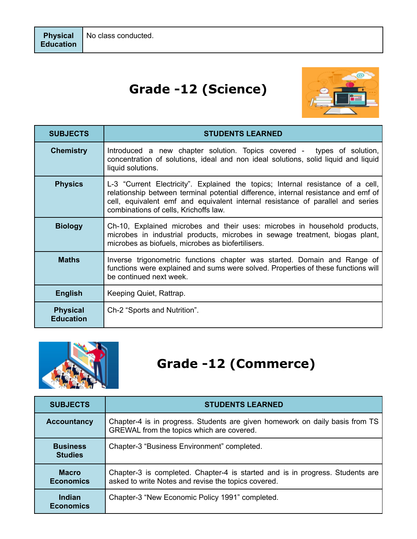## **Grade -12 (Science)**



| <b>SUBJECTS</b>                     | <b>STUDENTS LEARNED</b>                                                                                                                                                                                                                                                                          |
|-------------------------------------|--------------------------------------------------------------------------------------------------------------------------------------------------------------------------------------------------------------------------------------------------------------------------------------------------|
| <b>Chemistry</b>                    | Introduced a new chapter solution. Topics covered - types of solution,<br>concentration of solutions, ideal and non ideal solutions, solid liquid and liquid<br>liquid solutions.                                                                                                                |
| <b>Physics</b>                      | L-3 "Current Electricity". Explained the topics; Internal resistance of a cell,<br>relationship between terminal potential difference, internal resistance and emf of<br>cell, equivalent emf and equivalent internal resistance of parallel and series<br>combinations of cells, Krichoffs law. |
| <b>Biology</b>                      | Ch-10, Explained microbes and their uses: microbes in household products,<br>microbes in industrial products, microbes in sewage treatment, biogas plant,<br>microbes as biofuels, microbes as biofertilisers.                                                                                   |
| <b>Maths</b>                        | Inverse trigonometric functions chapter was started. Domain and Range of<br>functions were explained and sums were solved. Properties of these functions will<br>be continued next week.                                                                                                         |
| <b>English</b>                      | Keeping Quiet, Rattrap.                                                                                                                                                                                                                                                                          |
| <b>Physical</b><br><b>Education</b> | Ch-2 "Sports and Nutrition".                                                                                                                                                                                                                                                                     |



## **Grade -12 (Commerce)**

| <b>SUBJECTS</b>                   | <b>STUDENTS LEARNED</b>                                                                                                              |
|-----------------------------------|--------------------------------------------------------------------------------------------------------------------------------------|
| <b>Accountancy</b>                | Chapter-4 is in progress. Students are given homework on daily basis from TS<br>GREWAL from the topics which are covered.            |
| <b>Business</b><br><b>Studies</b> | Chapter-3 "Business Environment" completed.                                                                                          |
| <b>Macro</b><br><b>Economics</b>  | Chapter-3 is completed. Chapter-4 is started and is in progress. Students are<br>asked to write Notes and revise the topics covered. |
| Indian<br><b>Economics</b>        | Chapter-3 "New Economic Policy 1991" completed.                                                                                      |